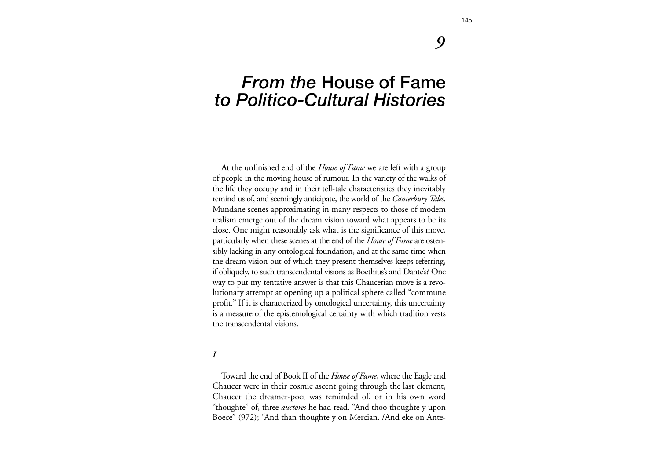## *9*

# *From the* **House of Fame** *to Politico-Cultural Histories*

At the unfinished end of the *House of Fame* we are left with a group of people in the moving house of rumour. In the variety of the walks of the life they occupy and in their tell-tale characteristics they inevitably remind us of, and seemingly anticipate, the world of the *Canterbury Tales*. Mundane scenes approximating in many respects to those of modem realism emerge out of the dream vision toward what appears to be its close. One might reasonably ask what is the significance of this move, particularly when these scenes at the end of the *House of Fame* are ostensibly lacking in any ontological foundation, and at the same time when the dream vision out of which they present themselves keeps referring, if obliquely, to such transcendental visions as Boethius's and Dante's? One way to put my tentative answer is that this Chaucerian move is a revolutionary attempt at opening up a political sphere called "commune profit." If it is characterized by ontological uncertainty, this uncertainty is a measure of the epistemological certainty with which tradition vests the transcendental visions.

#### *I*

Toward the end of Book II of the *House of Fame*, where the Eagle and Chaucer were in their cosmic ascent going through the last element, Chaucer the dreamer-poet was reminded of, or in his own word "thoughte" of, three *auctores* he had read. "And thoo thoughte y upon Boece" (972); "And than thoughte y on Mercian. /And eke on Ante-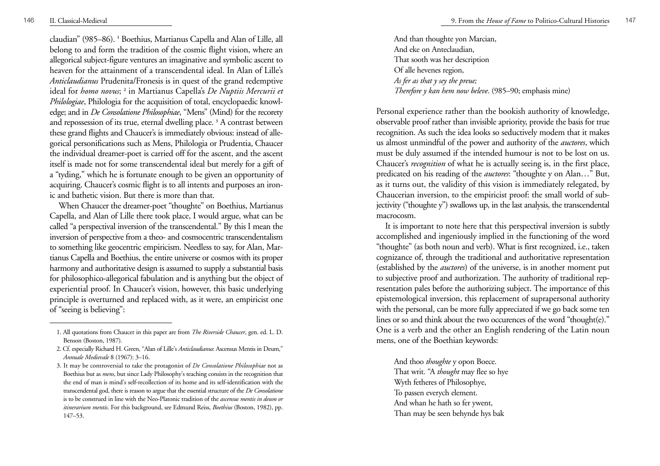claudian" (985–86). **<sup>1</sup>** Boethius, Martianus Capella and Alan of Lille, all belong to and form the tradition of the cosmic flight vision, where an allegorical subject-figure ventures an imaginative and symbolic ascent to heaven for the attainment of a transcendental ideal. In Alan of Lille's *Anticlaudianus* Prudenita/Fronesis is in quest of the grand redemptive ideal for *homo novus*; **<sup>2</sup>** in Martianus Capella's *De Nuptiis Mercurii et Philologiae*, Philologia for the acquisition of total, encyclopaedic knowledge; and in *De Consolatione Philosophiae*, "Mens" (Mind) for the recorety and repossession of its true, eternal dwelling place. **<sup>3</sup>** A contrast between these grand flights and Chaucer's is immediately obvious: instead of allegorical personifications such as Mens, Philologia or Prudentia, Chaucer the individual dreamer-poet is carried off for the ascent, and the ascent itself is made not for some transcendental ideal but merely for a gift of <sup>a</sup>"tyding," which he is fortunate enough to be given an opportunity of acquiring. Chaucer's cosmic flight is to all intents and purposes an ironic and bathetic vision. But there is more than that.

When Chaucer the dreamer-poet "thoughte" on Boethius, Martianus Capella, and Alan of Lille there took place, I would argue, what can be called "a perspectival inversion of the transcendental." By this I mean the inversion of perspective from a theo- and cosmocentric transcendentalism to something like geocentric empiricism. Needless to say, for Alan, Martianus Capella and Boethius, the entire universe or cosmos with its proper harmony and authoritative design is assumed to supply a substantial basis for philosophico-allegorical fabulation and is anything but the object of experiential proof. In Chaucer's vision, however, this basic underlying principle is overturned and replaced with, as it were, an empiricist one of "seeing is believing":

And than thoughte yon Marcian, And eke on Anteclaudian, That sooth was her description Of alle hevenes region, *As fer as that y sey the preue; Therefore y kan hem now beleve*. (985–90; emphasis mine)

Personal experience rather than the bookish authority of knowledge, observable proof rather than invisible apriority, provide the basis for true recognition. As such the idea looks so seductively modem that it makes us almost unmindful of the power and authority of the *auctores*, which must be duly assumed if the intended humour is not to be lost on us. Chaucer's *recognition* of what he is actually seeing is, in the first place, predicated on his reading of the *auctores*: "thoughte y on Alan…" But, as it turns out, the validity of this vision is immediately relegated, by Chaucerian inversion, to the empiricist proof: the small world of subjectivity ("thoughte y") swallows up, in the last analysis, the transcendental macrocosm.

It is important to note here that this perspectival inversion is subtly accomplished and ingeniously implied in the functioning of the word "thoughte" (as both noun and verb). What is first recognized, i.e., taken cognizance of, through the traditional and authoritative representation (established by the *auctores*) of the universe, is in another moment put to subjective proof and authorization. The authority of traditional representation pales before the authorizing subject. The importance of this epistemological inversion, this replacement of suprapersonal authority with the personal, can be more fully appreciated if we go back some ten lines or so and think about the two occurences of the word "thought(e)." One is a verb and the other an English rendering of the Latin noun mens, one of the Boethian keywords:

And thoo *thoughte* y opon Boece. That writ. "A *thought* may flee so hye Wyth fetheres of Philosophye, To passen everych element. And whan he hath so fer ywent, Than may be seen behynde hys bak

<sup>1.</sup> All quotations from Chaucer in this paper are from *The Riverside Chaucer*, gen. ed. L. D. Benson (Boston, 1987).

<sup>2.</sup> Cf. especially Richard H. Green, "Alan of Lille's *Anticlaudianus*: Ascensus Mentis in Deum," *Annuale Medievale* 8 (1967): 3–16.

<sup>3.</sup> It may be controversial to take the protagonist of *De Consolatione Philosophiae* not as Boethius but as *mens*, but since Lady Philosophy's teaching consists in the recognition that the end of man is mind's self-recollection of its home and its self-identification with the transcendental god, there is reason to argue that the essential structure of the *De Consolatione* is to be construed in line with the Neo-Platonic tradition of the *ascensus mentis in deum or itinerarium mentis*. For this background, see Edmund Reiss, *Boethius* (Boston, 1982), pp. 147–53.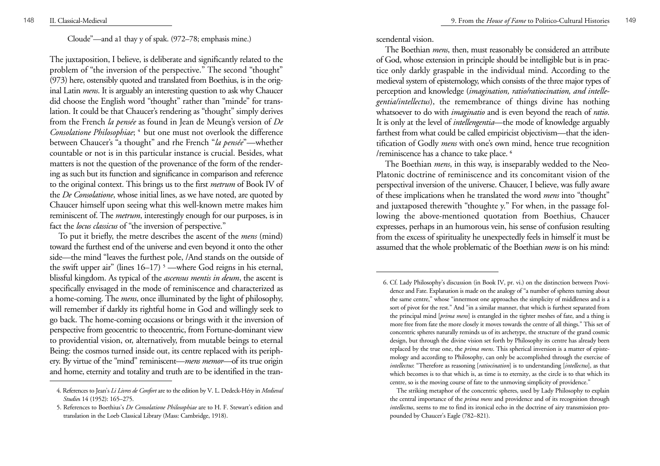#### Cloude"—and a1 thay y of spak. (972–78; emphasis mine.)

The juxtaposition, I believe, is deliberate and significantly related to the problem of "the inversion of the perspective." The second "thought" (973) here, ostensibly quoted and translated from Boethius, is in the original Latin *mens*. It is arguably an interesting question to ask why Chaucer did choose the English word "thought" rather than "minde" for translation. It could be that Chaucer's rendering as "thought" simply derives from the French *la pensée* as found in Jean de Meung's version of *De Consolatione Philosophiae*; **<sup>4</sup>**but one must not overlook the difference between Chaucer's "a thought" and rhe French "*la pensée*"—whether countable or not is in this particular instance is crucial. Besides, what matters is not the question of the provenance of the form of the rendering as such but its function and significance in comparison and reference to the original context. This brings us to the first *metrum* of Book IV of the *De Consolatione*, whose initial lines, as we have noted, are quoted by Chaucer himself upon seeing what this well-known metre makes him reminiscent of. The *metrum*, interestingly enough for our purposes, is in fact the *locus classicus* of "the inversion of perspective."

To put it briefly, the metre describes the ascent of the *mens* (mind) toward the furthest end of the universe and even beyond it onto the other side—the mind "leaves the furthest pole, /And stands on the outside of the swift upper air" (lines 16–17) **<sup>5</sup>** —where God reigns in his eternal, blissful kingdom. As typical of the *ascensus mentis in deum*, the ascent is specifically envisaged in the mode of reminiscence and characterized as a home-coming. The *mens*, once illuminated by the light of philosophy, will remember if darkly its rightful home in God and willingly seek to go back. The home-coming occasions or brings with it the inversion of perspective from geocentric to theocentric, from Fortune-dominant view to providential vision, or, alternatively, from mutable beings to eternal Being: the cosmos turned inside out, its centre replaced with its periphery. By virtue of the "mind" reminiscent—*mens memor*—of its true origin and home, eternity and totality and truth are to be identified in the transcendental vision.

The Boethian *mens*, then, must reasonably be considered an attribute of God, whose extension in principle should be intelligible but is in practice only darkly graspable in the individual mind. According to the medieval system of epistemology, which consists of the three major types of perception and knowledge (*imagination, ratio/ratiocination, and intellegentia/intellectus*), the remembrance of things divine has nothing whatsoever to do with *imaginatio* and is even beyond the reach of *ratio*. It is only at the level of *intellengentia*—the mode of knowledge arguably farthest from what could be called empiricist objectivism—that the identification of Godly *mens* with one's own mind, hence true recognition /reminiscence has a chance to take place. **<sup>6</sup>**

The Boethian *mens*, in this way, is inseparably wedded to the Neo-Platonic doctrine of reminiscence and its concomitant vision of the perspectival inversion of the universe. Chaucer, I believe, was fully aware of these implications when he translated the word *mens* into "thought" and juxtaposed therewith "thoughte y." For when, in the passage following the above-mentioned quotation from Boethius, Chaucer expresses, perhaps in an humorous vein, his sense of confusion resulting from the excess of spirituality he unexpectedly feels in himself it must be assumed that the whole problematic of the Boethian *mens* is on his mind:

<sup>4.</sup> References to Jean's *Li Livres de Confort* are to the edition by V. L. Dedeck-Héry in *Medieval Studie*s 14 (1952): 165–275.

<sup>5.</sup> References to Boethius's *De Consolatione Philosophiae* are to H. F. Stewart's edition and translation in the Loeb Classical Library (Mass: Cambridge, 1918).

<sup>6.</sup> Cf. Lady Philosophy's discussion (in Book IV, pr. vi.) on the distinction between Providence and Fate. Explanation is made on the analogy of "a number of spheres turning about the same centre," whose "innermost one approaches the simplicity of middleness and is a sort of pivot for the rest." And "in a similar manner, that which is furthest separated from the principal mind [*prima mens*] is entangled in the tighter meshes of fate, and a thing is more free from fate the more closely it moves towards the centre of all things." This set of concentric spheres naturally reminds us of its archetype, the structure of the grand cosmic design, but through the divine vision set forth by Philosophy its centre has already been replaced by the true one, the *prima mens*. This spherical inversion is a matter of epistemology and according to Philosophy, can only be accomplished through the exercise of *intellectus*: "Therefore as reasoning [*ratiocination*] is to understanding [*intellectus*], as that which becomes is to that which is, as time is to eternity, as the circle is to that which its centre, so is the moving course of fate to the unmoving simplicity of providence."

The striking metaphor of the concentric spheres, used by Lady Philosophy to explain the central importance of the *prima mens* and providence and of its recognition through *intellectus*, seems to me to find its ironical echo in the doctrine of airy transmission propounded by Chaucer's Eagle (782–821).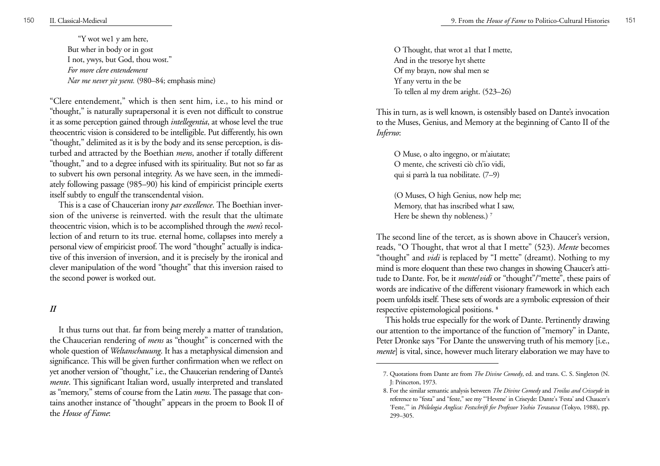"Y wot we1 y am here, But wher in body or in gost I not, ywys, but God, thou wost." *For more clere entendement Nar me never yit ysent.* (980–84; emphasis mine)

"Clere entendement," which is then sent him, i.e., to his mind or "thought," is naturally suprapersonal it is even not difficult to construe it as some perception gained through *intellegentia*, at whose level the true theocentric vision is considered to be intelligible. Put differently, his own "thought," delimited as it is by the body and its sense perception, is disturbed and attracted by the Boethian *mens*, another if totally different "thought," and to a degree infused with its spirituality. But not so far as to subvert his own personal integrity. As we have seen, in the immediately following passage (985–90) his kind of empiricist principle exerts itself subtly to engulf the transcendental vision.

This is a case of Chaucerian irony *par excellence*. The Boethian inversion of the universe is reinverted. with the result that the ultimate theocentric vision, which is to be accomplished through the *men's* recollection of and return to its true. eternal home, collapses into merely a personal view of empiricist proof. The word "thought" actually is indicative of this inversion of inversion, and it is precisely by the ironical and clever manipulation of the word "thought" that this inversion raised to the second power is worked out.

#### *II*

It thus turns out that. far from being merely a matter of translation, the Chaucerian rendering of *mens* as "thought" is concerned with the whole question of *Weltanschauung*. It has a metaphysical dimension and significance. This will be given further confirmation when we reflect on yet another version of "thought," i.e., the Chaucerian rendering of Dante's *mente*. This significant Italian word, usually interpreted and translated as "memory," stems of course from the Latin *mens*. The passage that contains another instance of "thought" appears in the proem to Book II of the *House of Fame*:

O Thought, that wrot a1 that I mette, And in the tresorye hyt shette Of my brayn, now shal men se Yf any vertu in the be To tellen al my drem aright. (523–26)

This in turn, as is well known, is ostensibly based on Dante's invocation to the Muses, Genius, and Memory at the beginning of Canto II of the *Inferno*:

O Muse, o alto ingegno, or m'aiutate; O mente, che scrivesti ciò ch'io vidi, qui si parrà la tua nobilitate. (7–9)

(O Muses, O high Genius, now help me; Memory, that has inscribed what I saw, Here be shewn thy nobleness.) **<sup>7</sup>**

The second line of the tercet, as is shown above in Chaucer's version, reads, "O Thought, that wrot al that I mette" (523). *Mente* becomes "thought" and *vidi* is replaced by "I mette" (dreamt). Nothing to my mind is more eloquent than these two changes in showing Chaucer's attitude to Dante. For, be it *mente*/*vidi* or "thought"/"mette", these pairs of words are indicative of the different visionary framework in which each poem unfolds itself. These sets of words are a symbolic expression of their respective epistemological positions. **<sup>8</sup>**

This holds true especially for the work of Dante. Pertinently drawing our attention to the importance of the function of "memory" in Dante, Peter Dronke says "For Dante the unswerving truth of his memory [i.e., *mente*] is vital, since, however much literary elaboration we may have to

<sup>7.</sup> Quotations from Dante are from *The Divine Comedy*, ed. and trans. C. S. Singleton (N. J: Princeton, 1973.

<sup>8.</sup> For the similar semantic analysis between *The Divine Comedy* and *Troilus and Crisseyde* in reference to "festa" and "feste," see my "'Hevene' in Criseyde: Dante's 'Festa' and Chaucer's 'Feste,'" in *Philologia Anglica: Festschrift for Professor Yoshio Terasawa* (Tokyo, 1988), pp. 299–305.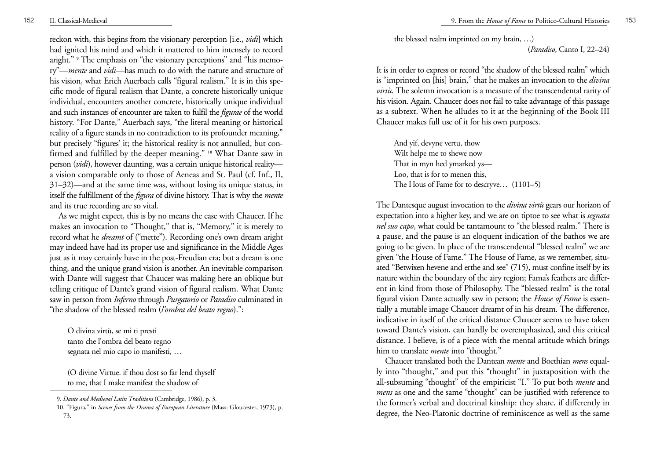reckon with, this begins from the visionary perception [i.e., *vidi*] which had ignited his mind and which it mattered to him intensely to record aright." <sup>9</sup> The emphasis on "the visionary perceptions" and "his memory"—*mente* and *vidi*—has much to do with the nature and structure of his vision, what Erich Auerbach calls "figural realism." It is in this specific mode of figural realism that Dante, a concrete historically unique individual, encounters another concrete, historically unique individual and such instances of encounter are taken to fulfil the *figurae* of the world history. "For Dante," Auerbach says, "the literal meaning or historical reality of a figure stands in no contradiction to its profounder meaning," but precisely "figures' it; the historical reality is not annulled, but confirmed and fulfilled by the deeper meaning." **10** What Dante saw in person (*vidi*), however daunting, was a certain unique historical reality a vision comparable only to those of Aeneas and St. Paul (cf. Inf., II, 31–32)—and at the same time was, without losing its unique status, in itself the fulfillment of the *figura* of divine history. That is why the *mente* and its true recording are so vital.

As we might expect, this is by no means the case with Chaucer. If he makes an invocation to "Thought," that is, "Memory," it is merely to record what he *dreamt* of ("mette"). Recording one's own dream aright may indeed have had its proper use and significance in the Middle Ages just as it may certainly have in the post-Freudian era; but a dream is one thing, and the unique grand vision is another. An inevitable comparison with Dante will suggest that Chaucer was making here an oblique but telling critique of Dante's grand vision of figural realism. What Dante saw in person from *Inferno* through *Purgatorio* or *Paradiso* culminated in "the shadow of the blessed realm (*l'ombra del beato regno*).":

O divina virtù, se mi ti presti tanto che l'ombra del beato regno segnata nel mio capo io manifesti, …

(O divine Virtue. if thou dost so far lend thyself to me, that I make manifest the shadow of

the blessed realm imprinted on my brain, …)

(*Paradiso*, Canto I, 22–24)

It is in order to express or record "the shadow of the blessed realm" which is "imprinted on [his] brain," that he makes an invocation to the *divina virtù*. The solemn invocation is a measure of the transcendental rarity of his vision. Again. Chaucer does not fail to take advantage of this passage as a subtext. When he alludes to it at the beginning of the Book III Chaucer makes full use of it for his own purposes.

And yif, devyne vertu, thow Wilt helpe me to shewe now That in myn hed ymarked ys— Loo, that is for to menen this, The Hous of Fame for to descryve… (1101–5)

The Dantesque august invocation to the *divina virtù* gears our horizon of expectation into a higher key, and we are on tiptoe to see what is *segnata nel suo capo*, what could be tantamount to "the blessed realm." There is a pause, and the pause is an eloquent indication of the bathos we are going to be given. In place of the transcendental "blessed realm" we are given "the House of Fame." The House of Fame, as we remember, situated "Betwixen hevene and erthe and see" (715), must confine itself by its nature within the boundary of the airy region; Fama's feathers are different in kind from those of Philosophy. The "blessed realm" is the total figural vision Dante actually saw in person; the *House of Fame* is essentially a mutable image Chaucer dreamt of in his dream. The difference, indicative in itself of the critical distance Chaucer seems to have taken toward Dante's vision, can hardly be overemphasized, and this critical distance. I believe, is of a piece with the mental attitude which brings him to translate *mente* into "thought."

Chaucer translated both the Dantean *mente* and Boethian *mens* equally into "thought," and put this "thought" in juxtaposition with the all-subsuming "thought" of the empiricist "I." To put both *mente* and *mens* as one and the same "thought" can be justified with reference to the former's verbal and doctrinal kinship: they share, if differently in degree, the Neo-Platonic doctrine of reminiscence as well as the same

<sup>9.</sup> *Dante and Medieval Latin Traditions* (Cambridge, 1986), p. 3.

<sup>10. &</sup>quot;Figura," in *Scenes from the Drama of European Literature* (Mass: Gloucester, 1973), p. 73.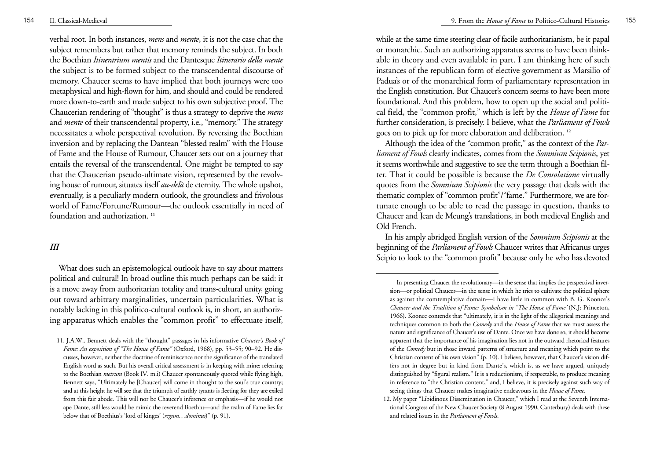verbal root. In both instances, *mens* and *mente*, it is not the case chat the subject remembers but rather that memory reminds the subject. In both the Boethian *Itinerarium mentis* and the Dantesque *Itinerario della mente* the subject is to be formed subject to the transcendental discourse of memory. Chaucer seems to have implied that both journeys were too metaphysical and high-flown for him, and should and could be rendered more down-to-earth and made subject to his own subjective proof. The Chaucerian rendering of "thought" is thus a strategy to deprive the *mens* and *mente* of their transcendental property, i.e., "memory." The strategy necessitates a whole perspectival revolution. By reversing the Boethian inversion and by replacing the Dantean "blessed realm" with the House of Fame and the House of Rumour, Chaucer sets out on a journey that entails the reversal of the transcendental. One might be tempted to say that the Chaucerian pseudo-ultimate vision, represented by the revolving house of rumour, situates itself *au-delà* de eternity. The whole upshot, eventually, is a peculiarly modern outlook, the groundless and frivolous world of Fame/Fortune/Rumour—the outlook essentially in need of foundation and authorization. **<sup>11</sup>**

### *III*

What does such an epistemological outlook have to say about matters political and cultural! In broad outline this much perhaps can be said: it is a move away from authoritarian totality and trans-cultural unity, going out toward arbitrary marginalities, uncertain particularities. What is notably lacking in this politico-cultural outlook is, in short, an authorizing apparatus which enables the "common profit" to effectuate itself,

while at the same time steering clear of facile authoritarianism, be it papal or monarchic. Such an authorizing apparatus seems to have been thinkable in theory and even available in part. I am thinking here of such instances of the republican form of elective government as Marsilio of Padua's or of the monarchical form of parliamentary representation in the English constitution. But Chaucer's concern seems to have been more foundational. And this problem, how to open up the social and political field, the "common profit," which is left by the *House of Fame* for further consideration, is precisely. I believe, what the *Parliament of Fowls* goes on to pick up for more elaboration and deliberation. **<sup>12</sup>**

Although the idea of the "common profit," as the context of the *Parliament of Fowls* clearly indicates, comes from the *Somnium Scipionis*, yet it seems worthwhile and suggestive to see the term through a Boethian filter. That it could be possible is because the *De Consolatione* virtually quotes from the *Somnium Scipionis* the very passage that deals with the thematic complex of "common profit"/"fame." Furthermore, we are fortunate enough to be able to read the passage in question, thanks to Chaucer and Jean de Meung's translations, in both medieval English and Old French.

In his amply abridged English version of the *Somnium Scipionis* at the beginning of the *Parliament of Fowls* Chaucer writes that Africanus urges Scipio to look to the "common profit" because only he who has devoted

<sup>11.</sup> J.A.W.. Bennett deals with the "thought" passages in his informative *Chaucer's Book of Fame: An exposition of "The House of Fame"* (Oxford, 1968), pp. 53–55; 90–92. He discusses, however, neither the doctrine of reminiscence nor the significance of the translated English word as such. But his overall critical assessment is in keeping with mine: referring to the Boethian *metrum* (Book IV. m.i) Chaucer spontaneously quoted while flying high, Bennett says, "Ultimately he [Chaucer] will come in thought to the soul's true country; and at this height he will see that the triumph of earthly tyrants is fleeting for they are exiled from this fair abode. This will nor be Chaucer's inference or emphasis—if he would not ape Dante, still less would he mimic the reverend Boethiu—and the realm of Fame lies far below that of Boethius's 'lord of kinges' (*regum…dominus*)" (p. 91).

In presenting Chaucer the revolutionary—in the sense that implies the perspectival inversion—or political Chaucer—in the sense in which he tries to cultivate the political sphere as against the comtemplative domain—I have little in common with B. G. Koonce's *Chaucer and the Tradition of Fame: Symbolism in "The House of Fame'* (N.J: Princeton, 1966). Koonce contends that "ultimately, it is in the light of the allegorical meanings and techniques common to both the *Comedy* and the *House of Fame* that we must assess the nature and significance of Chaucer's use of Dante. Once we have done so, it should become apparent that the importance of his imagination lies not in the outward rhetorical features of the *Comedy* but in those inward patterns of structure and meaning which point to the Christian content of his own vision" (p. 10). I believe, however, that Chaucer's vision differs not in degree but in kind from Dante's, which is, as we have argued, uniquely distinguished by "figural realism." It is a reductionism, if respectable, to produce meaning in reference to "the Christian content," and, I believe, it is precisely against such way of seeing things that Chaucer makes imaginative endeavours in the *House of Fame*.

<sup>12.</sup> My paper "Libidinous Dissemination in Chaucer," which I read at the Seventh International Congress of the New Chaucer Society (8 August 1990, Canterbury) deals with these and related issues in the *Parliament of Fowls*.